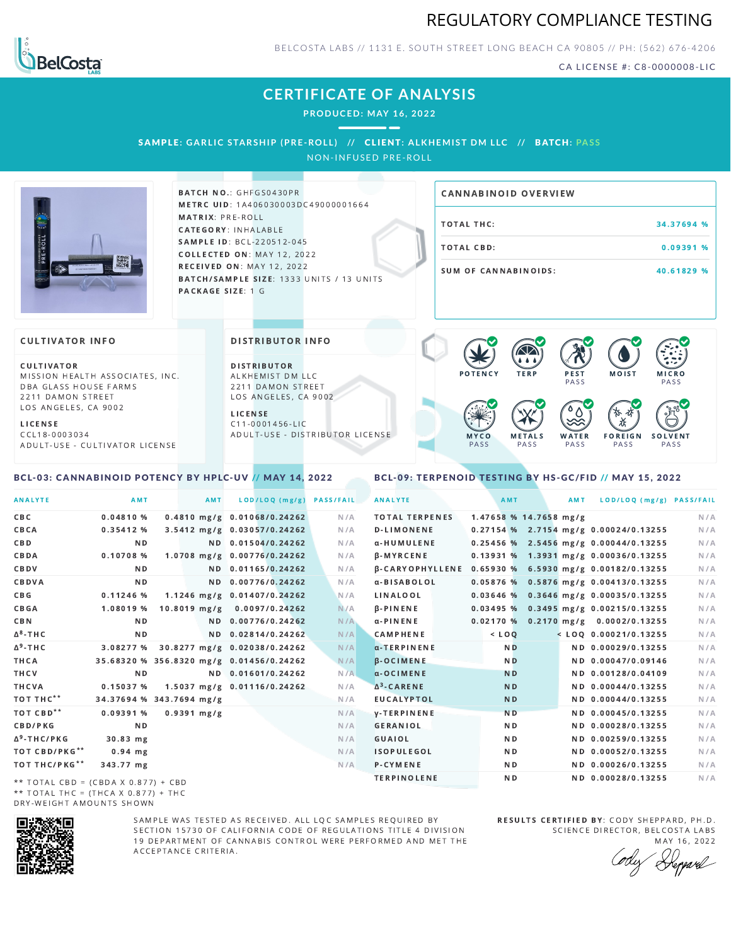



BELCOSTA LABS // 1131 E. SOUTH STREET LONG BEACH C A 90805 // PH: (562) 676-4206

CA LICENSE #: C8-0000008-LIC

MOIST MICRO

F O R E I G N **PASS** 

祅

**PASS** 

**SOLVENT PASS** 

# **CERTIFICATE OF ANALYSIS**

**PRODUCED: MAY 16, 2022**

## SAMPLE: GARLIC STARSHIP (PRE-ROLL) // CLIENT: ALKHEMIST DM LLC // BATCH: PASS

NON-INFUSED PRE-ROLL



BATCH NO.: GHFGS0430PR METRC UID: 1A406030003DC49000001664 MATRIX: PRE-ROLL CATEGORY: INHALABLE SAMPLE ID: BCL-220512-045 COLLECTED ON: MAY 12, 2022 **RECEIVED ON: MAY 12, 2022** BATCH/SAMPLE SIZE: 1333 UNITS / 13 UNITS PACKAGE SIZE: 1 G

DISTRIBUTOR INFO

D I STRIBUTOR ALKHEMIST DM LLC 2211 DAMON STREET LOS ANGELES, CA 9002

A D U L T - U S E - D I STRI B U T O R LICENSE

L I C E N S E  $C$  11-0001456-LIC

# TOTAL THC: 34.37694 % TOTAL CBD: 0.09391 % SUM OF CANNABINOIDS: 40.61829 % CANNABINOID OVERVIEW

 $P$  E S T **PASS** 

 $\bullet$  60 60 60 60

**WATER** PA S S

### **CULTIVATOR INFO**

CULTIVATOR MISSION HEALTH ASSOCIATES, INC. DBA GLASS HOUSE FARMS 2211 DAMON STREET LOS ANGELES, CA 9002

L I C E N S E C C L 1 8 - 0 0 0 3 0 3 4 A D U L T - U S E - C U L T I V A T O R L I CENSE

### <span id="page-0-0"></span>BCL-03: CANNABINOID POTENCY BY HPLC-UV // MAY 14, 2022

M Y C O PA S S

<span id="page-0-1"></span>

|  |  |  | BCL-09: TERPENOID TESTING BY HS-GC/FID // MAY 15. 2022 |  |  |
|--|--|--|--------------------------------------------------------|--|--|
|--|--|--|--------------------------------------------------------|--|--|

M E T A L S PA S S

| <b>ANALYTE</b>                                                                                | AMT                                      | AMT            | LOD/LOQ (mg/g)              | <b>PASS/FAIL</b> | <b>ANALYTE</b>        |                          | AMT            | AMT | LOD/LOQ (mg/g) PASS/FAIL                              |     |
|-----------------------------------------------------------------------------------------------|------------------------------------------|----------------|-----------------------------|------------------|-----------------------|--------------------------|----------------|-----|-------------------------------------------------------|-----|
| CBC                                                                                           | 0.04810%                                 |                | 0.4810 mg/g 0.01068/0.24262 | N/A              | <b>TOTAL TERPENES</b> | $1.47658$ % 14.7658 mg/g |                |     |                                                       | N/A |
| CBCA                                                                                          | 0.35412%                                 |                | 3.5412 mg/g 0.03057/0.24262 | N/A              | <b>D-LIMONENE</b>     |                          |                |     | 0.27154 % 2.7154 mg/g 0.00024/0.13255                 | N/A |
| C B D                                                                                         | N <sub>D</sub>                           |                | ND 0.01504/0.24262          | N/A              | α-HUMULENE            |                          |                |     | $0.25456$ % 2.5456 mg/g 0.00044/0.13255               | N/A |
| CBDA                                                                                          | $0.10708$ %                              |                | 1.0708 mg/g 0.00776/0.24262 | N/A              | <b>B-MYRCENE</b>      |                          |                |     | 0.13931 % 1.3931 mg/g 0.00036/0.13255                 | N/A |
| CBDV                                                                                          | ND.                                      |                | ND 0.01165/0.24262          | N/A              |                       |                          |                |     | β-CARYOPHYLLENE 0.65930 % 6.5930 mg/g 0.00182/0.13255 | N/A |
| CBDVA                                                                                         | N <sub>D</sub>                           |                | ND 0.00776/0.24262          | N/A              | α-BISABOLOL           |                          |                |     | 0.05876 % 0.5876 mg/g 0.00413/0.13255                 | N/A |
| C B G                                                                                         | $0.11246$ %                              |                | 1.1246 mg/g 0.01407/0.24262 | N/A              | LINALOOL              |                          |                |     | 0.03646 % 0.3646 mg/g 0.00035/0.13255                 | N/A |
| CBGA                                                                                          | 1.08019 %                                | $10.8019$ mg/g | 0.0097/0.24262              | N/A              | $\beta$ -PINENE       |                          |                |     | 0.03495 % 0.3495 mg/g 0.00215/0.13255                 | N/A |
| <b>CBN</b>                                                                                    | N <sub>D</sub>                           |                | ND 0.00776/0.24262          | N/A              | α-PINENE              |                          |                |     | 0.02170 % 0.2170 mg/g 0.0002/0.13255                  | N/A |
| $\Delta$ <sup>8</sup> -THC                                                                    | N <sub>D</sub>                           |                | ND 0.02814/0.24262          | N/A              | <b>CAMPHENE</b>       | $<$ LOQ                  |                |     | $<$ LOQ 0.00021/0.13255                               | N/A |
| Δ <sup>9</sup> -ΤΗ C                                                                          | 3.08277 % 30.8277 mg/g 0.02038/0.24262   |                |                             | N/A              | α-TERPINENE           |                          | <b>ND</b>      |     | ND 0.00029/0.13255                                    | N/A |
| THCA                                                                                          | 35.68320 % 356.8320 mg/g 0.01456/0.24262 |                |                             | N/A              | <b>B-OCIMENE</b>      |                          | N <sub>D</sub> |     | ND 0.00047/0.09146                                    | N/A |
| THCV                                                                                          | N <sub>D</sub>                           |                | ND 0.01601/0.24262          | N/A              | $\alpha$ -OCIMENE     |                          | <b>ND</b>      |     | ND 0.00128/0.04109                                    | N/A |
| THCVA                                                                                         | 0.15037%                                 |                | 1.5037 mg/g 0.01116/0.24262 | N/A              | $\Delta^3$ -CARENE    |                          | <b>ND</b>      |     | ND 0.00044/0.13255                                    | N/A |
| тот тнс**                                                                                     | 34.37694 % 343.7694 mg/g                 |                |                             | N/A              | <b>EUCALYPTOL</b>     |                          | <b>ND</b>      |     | ND 0.00044/0.13255                                    | N/A |
| TOT CBD <sup>**</sup>                                                                         | 0.09391%                                 | $0.9391$ mg/g  |                             | N/A              | <b>y-TERPINENE</b>    |                          | N <sub>D</sub> |     | ND 0.00045/0.13255                                    | N/A |
| CBD/PKG                                                                                       | N <sub>D</sub>                           |                |                             | N/A              | <b>GERANIOL</b>       |                          | N <sub>D</sub> |     | ND 0.00028/0.13255                                    | N/A |
| ∆ <sup>9</sup> -THC/PKG                                                                       | 30.83 mg                                 |                |                             | N/A              | GUAIOL                |                          | N <sub>D</sub> |     | ND 0.00259/0.13255                                    | N/A |
| TOT CBD/PKG**                                                                                 | $0.94$ mg                                |                |                             | N/A              | <b>ISOPULEGOL</b>     |                          | N <sub>D</sub> |     | ND 0.00052/0.13255                                    | N/A |
| TOT THC/PKG**                                                                                 | 343.77 mg                                |                |                             | N/A              | P-CYMENE              |                          | ND.            |     | ND 0.00026/0.13255                                    | N/A |
| $\mathcal{L}$ , and $\mathcal{L}$ , and $\mathcal{L}$ , and $\mathcal{L}$ , and $\mathcal{L}$ |                                          |                |                             |                  | <b>TERPINOLENE</b>    |                          | ND.            |     | ND 0.00028/0.13255                                    | N/A |

\*\* TOTAL CBD =  $(CBDA X 0.877) + CBD$ \*\* TOTAL THC = (THCA X  $0.877$ ) + THC DRY-WEIGHT AMOUNTS SHOWN



SAMPLE WAS TESTED AS RECEIVED. ALL LQC SAMPLES REQUIRED BY SECTION 15730 OF CALIFORNIA CODE OF REGULATIONS TITLE 4 DIVISION 19 DEPARTMENT OF CANNABIS CONTROL WERE PERFORMED AND MET THE A C C E P T A N C E C R I T E R I A.

RESULTS CERTIFIED BY: CODY SHEPPARD, PH.D. SCIENCE DIRECTOR, BELCOSTA LABS

MAY 16, 2022 Heppard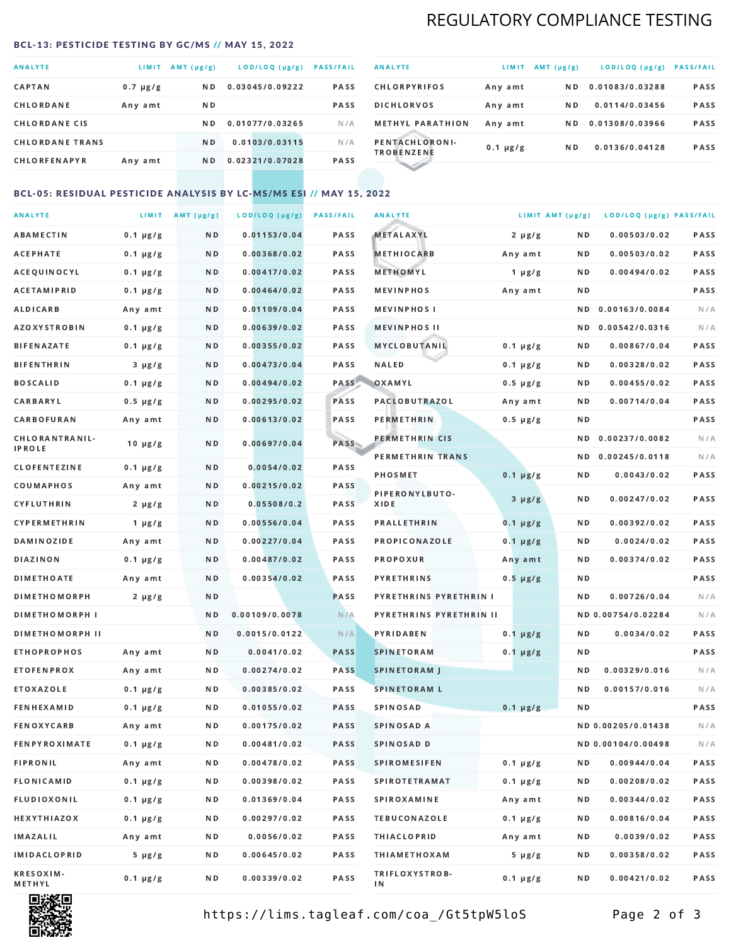# REGULATORY COMPLIANCE TESTING

### <span id="page-1-0"></span>BCL-13: PESTICIDE TESTING BY GC/MS // MAY 15, 2022

| <b>ANALYTE</b>         | <b>LIMIT</b>  | $AMT(\mu g/g)$ | LOD/LOQ (µg/g)  | <b>PASS/FAIL</b> |
|------------------------|---------------|----------------|-----------------|------------------|
| <b>CAPTAN</b>          | $0.7 \mu g/g$ | N <sub>D</sub> | 0.03045/0.09222 | <b>PASS</b>      |
| CHLORDANE              | Any amt       | ND.            |                 | <b>PASS</b>      |
| <b>CHLORDANE CIS</b>   |               | ND.            | 0.01077/0.03265 | N/A              |
| <b>CHLORDANE TRANS</b> |               | N <sub>D</sub> | 0.0103/0.03115  | N/A              |
| <b>CHLORFENAPYR</b>    | Any amt       | N D            | 0.02321/0.07028 | <b>PASS</b>      |

| <b>ANALYTE</b>                      | LIMIT         | $AMT(\mu g/g)$ | LOD/LOQ (µg/g)  | <b>PASS/FAIL</b> |
|-------------------------------------|---------------|----------------|-----------------|------------------|
| <b>CHLORPYRIFOS</b>                 | Any amt       | N D            | 0.01083/0.03288 | <b>PASS</b>      |
| <b>DICHLORVOS</b>                   | Any amt       | N D            | 0.0114/0.03456  | <b>PASS</b>      |
| <b>METHYL PARATHION</b>             | Any amt       | ND.            | 0.01308/0.03966 | <b>PASS</b>      |
| PENTACHLORONI-<br><b>TROBENZENE</b> | $0.1 \mu g/g$ | ND.            | 0.0136/0.04128  | <b>PASS</b>      |
|                                     |               |                |                 |                  |

### BCL-05: RESIDUAL PESTICIDE ANALYSIS BY LC-MS/MS ESI // MAY 15, 2022

| <b>ANALYTE</b>             |               | LIMIT AMT $(\mu g/g)$ | LOD/LOQ (µg/g) | <b>PASS/FAIL</b> | <b>ANALYTE</b>          |               | LIMIT AMT (µg/g) | LOD/LOQ (µg/g) PASS/FAIL |      |
|----------------------------|---------------|-----------------------|----------------|------------------|-------------------------|---------------|------------------|--------------------------|------|
| ABAMECTIN                  | $0.1 \mu g/g$ | N D                   | 0.01153/0.04   | PASS             | <b>METALAXYL</b>        | $2 \mu g/g$   | N D              | 0.00503/0.02             | PASS |
| <b>ACEPHATE</b>            | $0.1 \mu g/g$ | N D                   | 0.00368/0.02   | PASS             | <b>METHIOCARB</b>       | Any amt       | N D              | 0.00503/0.02             | PASS |
| ACEQUINOCYL                | $0.1 \mu g/g$ | N D                   | 0.00417/0.02   | PASS             | METHOMYL                | 1 $\mu$ g/g   | N D              | 0.00494/0.02             | PASS |
| ACETAMIPRID                | $0.1 \mu g/g$ | N D                   | 0.00464/0.02   | PASS             | <b>MEVINPHOS</b>        | Any amt       | N D              |                          | PASS |
| <b>ALDICARB</b>            | Any amt       | N D                   | 0.01109/0.04   | PASS             | <b>MEVINPHOSI</b>       |               | N D              | 0.00163/0.0084           | N/A  |
| <b>AZOXYSTROBIN</b>        | $0.1 \mu g/g$ | N D                   | 0.00639/0.02   | PASS             | <b>MEVINPHOS II</b>     |               | N D              | 0.00542/0.0316           | N/A  |
| <b>BIFENAZATE</b>          | $0.1 \mu g/g$ | N D                   | 0.00355/0.02   | PASS             | <b>MYCLOBUTANIL</b>     | $0.1 \mu g/g$ | N D              | 0.00867/0.04             | PASS |
| <b>BIFENTHRIN</b>          | $3 \mu g/g$   | N D                   | 0.00473/0.04   | PASS             | <b>NALED</b>            | $0.1 \mu g/g$ | N D              | 0.00328/0.02             | PASS |
| <b>BOSCALID</b>            | $0.1 \mu g/g$ | N D                   | 0.00494/0.02   | PASS             | OXAMYL                  | $0.5 \mu g/g$ | N D              | 0.00455/0.02             | PASS |
| <b>CARBARYL</b>            | $0.5 \mu g/g$ | N D                   | 0.00295/0.02   | PASS             | <b>PACLOBUTRAZOL</b>    | Any amt       | N D              | 0.00714/0.04             | PASS |
| CARBOFURAN                 | Any amt       | N D                   | 0.00613/0.02   | PASS             | PERMETHRIN              | $0.5 \mu g/g$ | N D              |                          | PASS |
| CHLORANTRANIL-             | $10 \mu g/g$  | N D                   | 0.00697/0.04   | PASS             | PERMETHRIN CIS          |               | ND.              | 0.00237/0.0082           | N/A  |
| <b>IPROLE</b>              |               |                       |                |                  | PERMETHRIN TRANS        |               |                  | ND 0.00245/0.0118        | N/A  |
| <b>CLOFENTEZINE</b>        | $0.1 \mu g/g$ | ND.                   | 0.0054/0.02    | PASS             | <b>PHOSMET</b>          | $0.1 \mu g/g$ | N D              | 0.0043/0.02              | PASS |
| COUMAPHOS                  | Any amt       | N D                   | 0.00215/0.02   | <b>PASS</b>      | PIPERONYLBUTO-          | $3 \mu g/g$   | N D              | 0.00247/0.02             | PASS |
| CYFLUTHRIN                 | $2 \mu g/g$   | N D                   | 0.05508/0.2    | <b>PASS</b>      | XIDE                    |               |                  |                          |      |
| <b>CYPERMETHRIN</b>        | $1 \mu g/g$   | N D                   | 0.00556/0.04   | PASS             | <b>PRALLETHRIN</b>      | $0.1 \mu g/g$ | N D              | 0.00392/0.02             | PASS |
| <b>DAMINOZIDE</b>          | Any amt       | N D                   | 0.00227/0.04   | PASS             | PROPICONAZOLE           | $0.1 \mu g/g$ | N D              | 0.0024/0.02              | PASS |
| DIAZINON                   | $0.1 \mu g/g$ | N D                   | 0.00487/0.02   | PASS             | <b>PROPOXUR</b>         | Any amt       | N D              | 0.00374/0.02             | PASS |
| <b>DIMETHOATE</b>          | Any amt       | N D                   | 0.00354/0.02   | PASS             | <b>PYRETHRINS</b>       | $0.5 \mu g/g$ | N D              |                          | PASS |
| <b>DIMETHOMORPH</b>        | $2 \mu g/g$   | N D                   |                | PASS             | PYRETHRINS PYRETHRIN I  |               | ND.              | 0.00726/0.04             | N/A  |
| <b>DIMETHOMORPH I</b>      |               | N D                   | 0.00109/0.0078 | N/A              | PYRETHRINS PYRETHRIN II |               |                  | ND 0.00754/0.02284       | N/A  |
| <b>DIMETHOMORPH II</b>     |               | N D                   | 0.0015/0.0122  | N/A              | <b>PYRIDABEN</b>        | $0.1 \mu g/g$ | N D              | 0.0034/0.02              | PASS |
| <b>ETHOPROPHOS</b>         | Any amt       | N D                   | 0.0041/0.02    | <b>PASS</b>      | <b>SPINETORAM</b>       | $0.1 \mu g/g$ | N D              |                          | PASS |
| <b>ETOFENPROX</b>          | Any amt       | ND.                   | 0.00274/0.02   | <b>PASS</b>      | <b>SPINETORAM J</b>     |               | N D              | 0.00329/0.016            | N/A  |
| ETOXAZOLE                  | $0.1 \mu g/g$ | N D                   | 0.00385/0.02   | PASS             | <b>SPINETORAM L</b>     |               | N D              | 0.00157/0.016            | N/A  |
| <b>FENHEXAMID</b>          | $0.1 \mu g/g$ | N D                   | 0.01055/0.02   | PASS             | <b>SPINOSAD</b>         | $0.1 \mu g/g$ | N D              |                          | PASS |
| <b>FENOXYCARB</b>          | Any amt       | N D                   | 0.00175/0.02   | <b>PASS</b>      | SPINOSAD A              |               |                  | ND 0.00205/0.01438       | N/A  |
| <b>FENPYROXIMATE</b>       | $0.1 \mu g/g$ | N D                   | 0.00481/0.02   | PASS             | SPINOSAD D              |               |                  | ND 0.00104/0.00498       | N/A  |
| <b>FIPRONIL</b>            | Any amt       | N D                   | 0.00478/0.02   | PASS             | <b>SPIROMESIFEN</b>     | $0.1 \mu g/g$ | N D              | 0.00944/0.04             | PASS |
| FLONICAMID                 | $0.1 \mu g/g$ | N D                   | 0.00398/0.02   | PASS             | SPIROTETRAMAT           | $0.1 \mu g/g$ | N D              | 0.00208/0.02             | PASS |
| FLUDIOXONIL                | $0.1 \mu g/g$ | N D                   | 0.01369/0.04   | PASS             | <b>SPIROXAMINE</b>      | Any amt       | N D              | 0.00344/0.02             | PASS |
| HEXYTHIAZOX                | $0.1 \mu g/g$ | N D                   | 0.00297/0.02   | PASS             | <b>TEBUCONAZOLE</b>     | $0.1 \mu g/g$ | N D              | 0.00816/0.04             | PASS |
| IMAZALIL                   | Any amt       | N D                   | 0.0056/0.02    | PASS             | <b>THIACLOPRID</b>      | Any amt       | N D              | 0.0039/0.02              | PASS |
| <b>IMIDACLOPRID</b>        | $5 \mu g/g$   | N D                   | 0.00645/0.02   | PASS             | <b>THIAMETHOXAM</b>     | $5 \mu g/g$   | N D              | 0.00358/0.02             | PASS |
| <b>KRESOXIM-</b><br>METHYL | $0.1 \mu g/g$ | N D                   | 0.00339/0.02   | PASS             | TRIFLOXYSTROB-<br>ΙN    | $0.1 \mu g/g$ | N D              | 0.00421/0.02             | PASS |